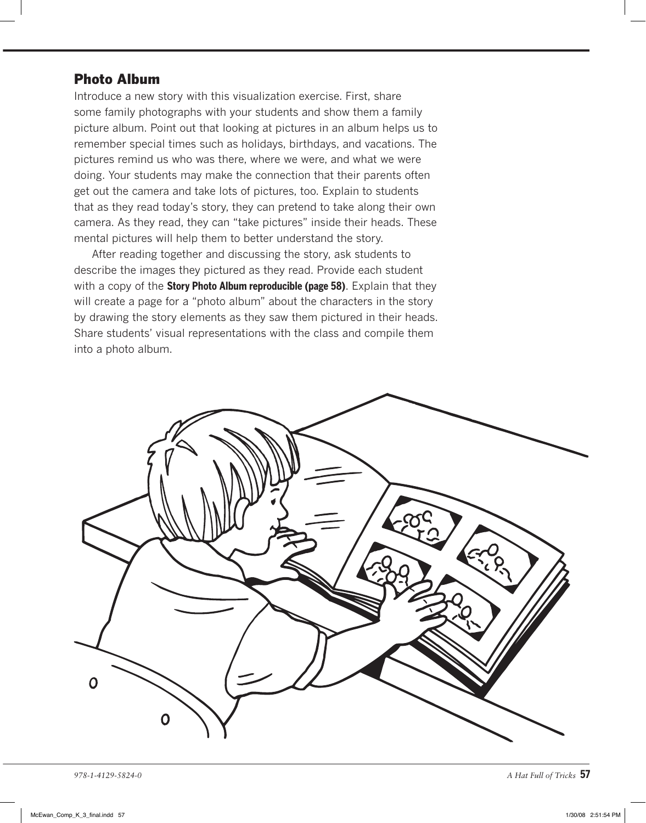## Photo Album

Introduce a new story with this visualization exercise. First, share some family photographs with your students and show them a family picture album. Point out that looking at pictures in an album helps us to remember special times such as holidays, birthdays, and vacations. The pictures remind us who was there, where we were, and what we were doing. Your students may make the connection that their parents often get out the camera and take lots of pictures, too. Explain to students that as they read today's story, they can pretend to take along their own camera. As they read, they can "take pictures" inside their heads. These mental pictures will help them to better understand the story.

After reading together and discussing the story, ask students to describe the images they pictured as they read. Provide each student with a copy of the **Story Photo Album reproducible (page 58)**. Explain that they will create a page for a "photo album" about the characters in the story by drawing the story elements as they saw them pictured in their heads. Share students' visual representations with the class and compile them into a photo album.



*978-1-4129-5824-0 A Hat Full of Tricks* **57**